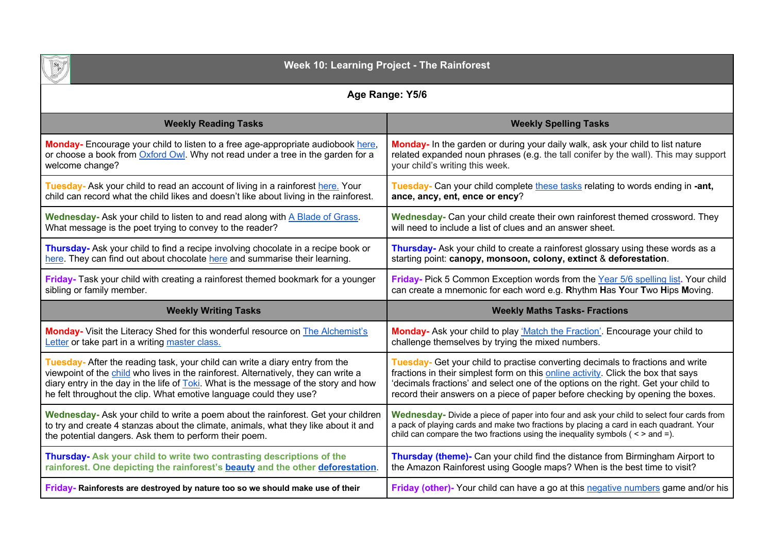

# **Week 10: Learning Project - The Rainforest**

|  | Age Range: Y5/6 |  |
|--|-----------------|--|
|--|-----------------|--|

| <b>Weekly Reading Tasks</b>                                                                  | <b>Weekly Spelling Tasks</b>                                                              |
|----------------------------------------------------------------------------------------------|-------------------------------------------------------------------------------------------|
| Monday- Encourage your child to listen to a free age-appropriate audiobook here,             | Monday- In the garden or during your daily walk, ask your child to list nature            |
| or choose a book from Oxford Owl. Why not read under a tree in the garden for a              | related expanded noun phrases (e.g. the tall conifer by the wall). This may support       |
| welcome change?                                                                              | your child's writing this week.                                                           |
| Tuesday- Ask your child to read an account of living in a rainforest here. Your              | Tuesday- Can your child complete these tasks relating to words ending in -ant,            |
| child can record what the child likes and doesn't like about living in the rainforest.       | ance, ancy, ent, ence or ency?                                                            |
| Wednesday- Ask your child to listen to and read along with A Blade of Grass.                 | Wednesday- Can your child create their own rainforest themed crossword. They              |
| What message is the poet trying to convey to the reader?                                     | will need to include a list of clues and an answer sheet.                                 |
| Thursday- Ask your child to find a recipe involving chocolate in a recipe book or            | Thursday- Ask your child to create a rainforest glossary using these words as a           |
| here. They can find out about chocolate here and summarise their learning.                   | starting point: canopy, monsoon, colony, extinct & deforestation.                         |
| Friday- Task your child with creating a rainforest themed bookmark for a younger             | Friday- Pick 5 Common Exception words from the Year 5/6 spelling list. Your child         |
| sibling or family member.                                                                    | can create a mnemonic for each word e.g. Rhythm Has Your Two Hips Moving.                 |
|                                                                                              |                                                                                           |
| <b>Weekly Writing Tasks</b>                                                                  | <b>Weekly Maths Tasks- Fractions</b>                                                      |
| <b>Monday-</b> Visit the Literacy Shed for this wonderful resource on <b>The Alchemist's</b> | Monday- Ask your child to play 'Match the Fraction'. Encourage your child to              |
| Letter or take part in a writing master class.                                               | challenge themselves by trying the mixed numbers.                                         |
| Tuesday- After the reading task, your child can write a diary entry from the                 | Tuesday- Get your child to practise converting decimals to fractions and write            |
| viewpoint of the child who lives in the rainforest. Alternatively, they can write a          | fractions in their simplest form on this online activity. Click the box that says         |
| diary entry in the day in the life of Toki. What is the message of the story and how         | 'decimals fractions' and select one of the options on the right. Get your child to        |
| he felt throughout the clip. What emotive language could they use?                           | record their answers on a piece of paper before checking by opening the boxes.            |
| Wednesday- Ask your child to write a poem about the rainforest. Get your children            | Wednesday- Divide a piece of paper into four and ask your child to select four cards from |
| to try and create 4 stanzas about the climate, animals, what they like about it and          | a pack of playing cards and make two fractions by placing a card in each quadrant. Your   |
| the potential dangers. Ask them to perform their poem.                                       | child can compare the two fractions using the inequality symbols ( $\leq$ > and =).       |
| Thursday- Ask your child to write two contrasting descriptions of the                        | Thursday (theme)- Can your child find the distance from Birmingham Airport to             |
| rainforest. One depicting the rainforest's beauty and the other deforestation.               | the Amazon Rainforest using Google maps? When is the best time to visit?                  |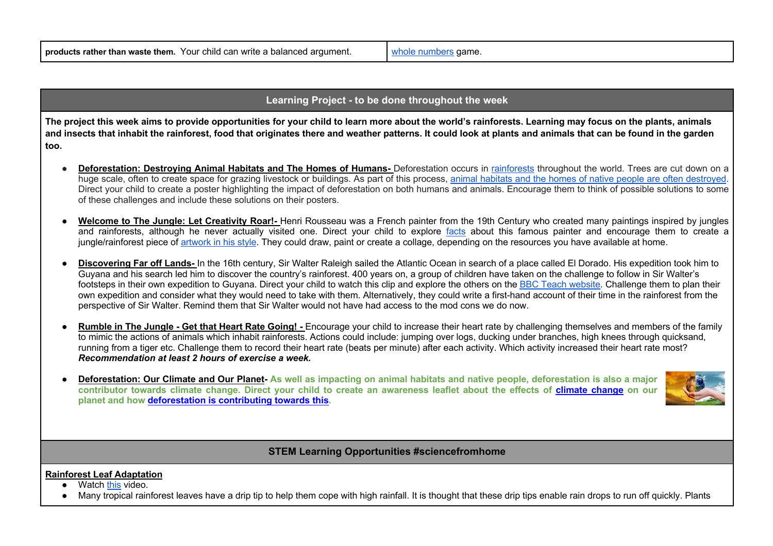## **Learning Project - to be done throughout the week**

**The project this week aims to provide opportunities for your child to learn more about the world's rainforests. Learning may focus on the plants, animals and insects that inhabit the rainforest, food that originates there and weather patterns. It could look at plants and animals that can be found in the garden too.**

- **Deforestation: Destroving Animal Habitats and The Homes of Humans-** Deforestation occurs in rainforests throughout the world. Trees are cut down on a huge scale, often to create space for grazing livestock or buildings. As part of this process, animal habitats and the homes of native people are often destroyed. Direct your child to create a poster highlighting the impact of deforestation on both humans and animals. Encourage them to think of possible solutions to some of these challenges and include these solutions on their posters.
- Welcome to The Jungle: Let Creativity Roar!- Henri Rousseau was a French painter from the 19th Century who created many paintings inspired by jungles and rainforests, although he never actually visited one. Direct your child to explore facts about this famous painter and encourage them to create a jungle/rainforest piece of artwork in his style. They could draw, paint or create a collage, depending on the resources you have available at home.
- **Discovering Far off Lands-** In the 16th century, Sir Walter Raleigh sailed the Atlantic Ocean in search of a place called El Dorado. His expedition took him to Guyana and his search led him to discover the country's rainforest. 400 years on, a group of children have taken on the challenge to follow in Sir Walter's footsteps in their own expedition to Guyana. Direct your child to watch this clip and explore the others on the BBC Teach website. Challenge them to plan their own expedition and consider what they would need to take with them. Alternatively, they could write a first-hand account of their time in the rainforest from the perspective of Sir Walter. Remind them that Sir Walter would not have had access to the mod cons we do now.
- **Rumble in The Jungle Get that Heart Rate Going! -** Encourage your child to increase their heart rate by challenging themselves and members of the family to mimic the actions of animals which inhabit rainforests. Actions could include: jumping over logs, ducking under branches, high knees through quicksand, running from a tiger etc. Challenge them to record their heart rate (beats per minute) after each activity. Which activity increased their heart rate most? *Recommendation at least 2 hours of exercise a week.*
- **Deforestation: Our Climate and Our Planet-** As well as impacting on animal habitats and native people, deforestation is also a major **contributor towards climate change. Direct your child to create an awareness leaflet about the effects of climate change on our planet and how deforestation is contributing towards this.**



## **STEM Learning Opportunities #sciencefromhome**

### **Rainforest Leaf Adaptation**

- Watch this video.
- Many tropical rainforest leaves have a drip tip to help them cope with high rainfall. It is thought that these drip tips enable rain drops to run off quickly. Plants